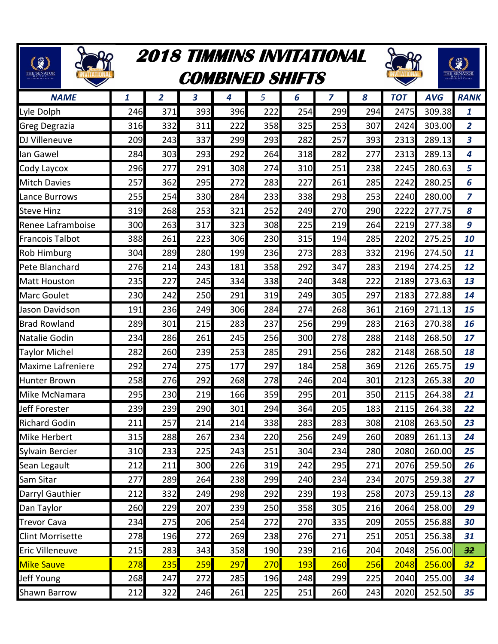| <b>②</b><br>THE SENATOR  |              |                | <b>COMBINED SHIFTS</b> |     |              |              | <b>2018 TIMMINS INVITATIONAL</b> |     |            |            |                |  |  |  |
|--------------------------|--------------|----------------|------------------------|-----|--------------|--------------|----------------------------------|-----|------------|------------|----------------|--|--|--|
| <b>NAME</b>              | $\mathbf{1}$ | $\overline{2}$ | 3                      | 4   | 5            | 6            | $\overline{z}$                   | 8   | <b>TOT</b> | <b>AVG</b> | <b>RANK</b>    |  |  |  |
| Lyle Dolph               | 246          | 371            | 393                    | 396 | 222          | 254          | 299                              | 294 | 2475       | 309.38     | 1              |  |  |  |
| Greg Degrazia            | 316          | 332            | 311                    | 222 | 358          | 325          | 253                              | 307 | 2424       | 303.00     | $\overline{2}$ |  |  |  |
| <b>DJ</b> Villeneuve     | 209          | 243            | 337                    | 299 | 293          | 282          | 257                              | 393 | 2313       | 289.13     | 3              |  |  |  |
| llan Gawel               | 284          | 303            | 293                    | 292 | 264          | 318          | 282                              | 277 | 2313       | 289.13     | 4              |  |  |  |
| Cody Laycox              | 296          | 277            | 291                    | 308 | 274          | 310          | 251                              | 238 | 2245       | 280.63     | 5              |  |  |  |
| <b>Mitch Davies</b>      | 257          | 362            | 295                    | 272 | 283          | 227          | 261                              | 285 | 2242       | 280.25     | 6              |  |  |  |
| Lance Burrows            | 255          | 254            | 330                    | 284 | 233          | 338          | 293                              | 253 | 2240       | 280.00     | 7              |  |  |  |
| <b>Steve Hinz</b>        | 319          | 268            | 253                    | 321 | 252          | 249          | 270                              | 290 | 2222       | 277.75     | 8              |  |  |  |
| Renee Laframboise        | 300          | 263            | 317                    | 323 | 308          | 225          | 219                              | 264 | 2219       | 277.38     | 9              |  |  |  |
| <b>Francois Talbot</b>   | 388          | 261            | 223                    | 306 | 230          | 315          | 194                              | 285 | 2202       | 275.25     | 10             |  |  |  |
| <b>Rob Himburg</b>       | 304          | 289            | 280                    | 199 | 236          | 273          | 283                              | 332 | 2196       | 274.50     | 11             |  |  |  |
| Pete Blanchard           | 276          | 214            | 243                    | 181 | 358          | 292          | 347                              | 283 | 2194       | 274.25     | 12             |  |  |  |
| <b>Matt Houston</b>      | 235          | 227            | 245                    | 334 | 338          | 240          | 348                              | 222 | 2189       | 273.63     | 13             |  |  |  |
| <b>Marc Goulet</b>       | 230          | 242            | 250                    | 291 | 319          | 249          | 305                              | 297 | 2183       | 272.88     | 14             |  |  |  |
| Jason Davidson           | 191          | 236            | 249                    | 306 | 284          | 274          | 268                              | 361 | 2169       | 271.13     | 15             |  |  |  |
| <b>Brad Rowland</b>      | 289          | 301            | 215                    | 283 | 237          | 256          | 299                              | 283 | 2163       | 270.38     | 16             |  |  |  |
| Natalie Godin            | 234          | 286            | 261                    | 245 | 256          | 300          | 278                              | 288 | 2148       | 268.50     | 17             |  |  |  |
| <b>Taylor Michel</b>     | 282          | 260            | 239                    | 253 | 285          | 291          | 256                              | 282 | 2148       | 268.50     | 18             |  |  |  |
| <b>Maxime Lafreniere</b> | 292          | 274            | 275                    | 177 | 297          | 184          | 258                              | 369 | 2126       | 265.75     | 19             |  |  |  |
| <b>Hunter Brown</b>      | 258          | 276            | 292                    | 268 | 278          | 246          | 204                              | 301 | 2123       | 265.38     | 20             |  |  |  |
| Mike McNamara            | 295          | 230            | 219                    | 166 | 359          | 295          | 201                              | 350 | 2115       | 264.38     | 21             |  |  |  |
| Jeff Forester            | 239 <b>I</b> | 2391           | 290                    | 301 | 294 <b>I</b> | 364 <b>I</b> | 205                              | 183 | 2115       | 264.38     | 22             |  |  |  |
| <b>Richard Godin</b>     | 211          | 257            | 214                    | 214 | 338          | 283          | 283                              | 308 | 2108       | 263.50     | 23             |  |  |  |
| <b>Mike Herbert</b>      | 315          | 288            | 267                    | 234 | 220          | 256          | 249                              | 260 | 2089       | 261.13     | 24             |  |  |  |
| Sylvain Bercier          | 310          | 233            | 225                    | 243 | 251          | 304          | 234                              | 280 | 2080       | 260.00     | 25             |  |  |  |
| Sean Legault             | 212          | 211            | 300                    | 226 | 319          | 242          | 295                              | 271 | 2076       | 259.50     | 26             |  |  |  |
| Sam Sitar                | 277          | 289            | 264                    | 238 | 299          | 240          | 234                              | 234 | 2075       | 259.38     | 27             |  |  |  |
| Darryl Gauthier          | 212          | 332            | 249                    | 298 | 292          | 239          | 193                              | 258 | 2073       | 259.13     | 28             |  |  |  |
| Dan Taylor               | 260          | 229            | 207                    | 239 | 250          | 358          | 305                              | 216 | 2064       | 258.00     | 29             |  |  |  |
| <b>Trevor Cava</b>       | 234          | 275            | 206                    | 254 | 272          | 270          | 335                              | 209 | 2055       | 256.88     | 30             |  |  |  |
| <b>Clint Morrisette</b>  | 278          | 196            | 272                    | 269 | 238          | 276          | 271                              | 251 | 2051       | 256.38     | 31             |  |  |  |
| <b>Eric Villeneuve</b>   | 245          | 283            | 343                    | 358 | <b>190</b>   | 239          | 216                              | 204 | 2048       | 256.00     | 32             |  |  |  |
| <b>Mike Sauve</b>        | 278          | 235            | 259                    | 297 | 270          | <b>193</b>   | 260                              | 256 | 2048       | 256.00     | 32             |  |  |  |
| Jeff Young               | 268          | 247            | 272                    | 285 | 196          | 248          | 299                              | 225 | 2040       | 255.00     | 34             |  |  |  |
| <b>Shawn Barrow</b>      | 212          | 322            | 246                    | 261 | 225          | 251          | 260                              | 243 | 2020       | 252.50     | 35             |  |  |  |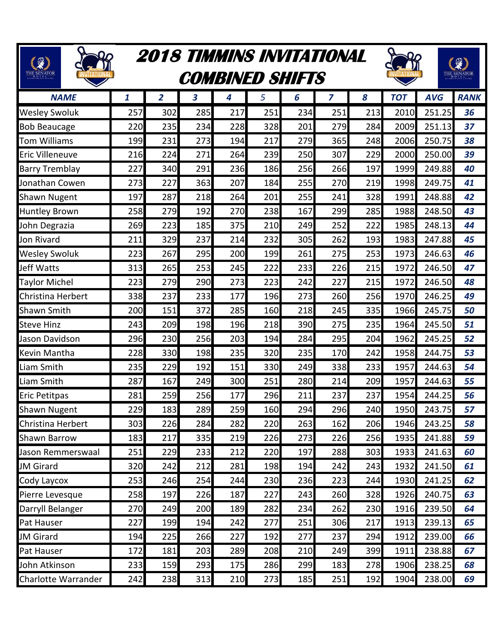| $\mathbb{G}$           |              | 2018 TIMMINS INVITATIONAL<br><b>COMBINED SHIFTS</b> | €   |     |     |     |     |     |            |            |             |
|------------------------|--------------|-----------------------------------------------------|-----|-----|-----|-----|-----|-----|------------|------------|-------------|
| <b>NAME</b>            | $\mathbf{1}$ | 2                                                   | 3   | 4   | 5   | 6   | 7   | 8   | <b>TOT</b> | <b>AVG</b> | <b>RANK</b> |
| <b>Wesley Swoluk</b>   | 257          | 302                                                 | 285 | 217 | 251 | 234 | 251 | 213 | 2010       | 251.25     | 36          |
| <b>Bob Beaucage</b>    | 220          | 235                                                 | 234 | 228 | 328 | 201 | 279 | 284 | 2009       | 251.13     | 37          |
| <b>Tom Williams</b>    | 199          | 231                                                 | 273 | 194 | 217 | 279 | 365 | 248 | 2006       | 250.75     | 38          |
| <b>Eric Villeneuve</b> | 216          | 224                                                 | 271 | 264 | 239 | 250 | 307 | 229 | 2000       | 250.00     | 39          |
| <b>Barry Tremblay</b>  | 227          | 340                                                 | 291 | 236 | 186 | 256 | 266 | 197 | 1999       | 249.88     | 40          |
| Jonathan Cowen         | 273          | 227                                                 | 363 | 207 | 184 | 255 | 270 | 219 | 1998       | 249.75     | 41          |
| <b>Shawn Nugent</b>    | 197          | 287                                                 | 218 | 264 | 201 | 255 | 241 | 328 | 1991       | 248.88     | 42          |
| <b>Huntley Brown</b>   | 258          | 279                                                 | 192 | 270 | 238 | 167 | 299 | 285 | 1988       | 248.50     | 43          |
| John Degrazia          | 269          | 223                                                 | 185 | 375 | 210 | 249 | 252 | 222 | 1985       | 248.13     | 44          |
| Jon Rivard             | 211          | 329                                                 | 237 | 214 | 232 | 305 | 262 | 193 | 1983       | 247.88     | 45          |
| <b>Wesley Swoluk</b>   | 223          | 267                                                 | 295 | 200 | 199 | 261 | 275 | 253 | 1973       | 246.63     | 46          |
| Jeff Watts             | 313          | 265                                                 | 253 | 245 | 222 | 233 | 226 | 215 | 1972       | 246.50     | 47          |
| <b>Taylor Michel</b>   | 223          | 279                                                 | 290 | 273 | 223 | 242 | 227 | 215 | 1972       | 246.50     | 48          |
| Christina Herbert      | 338          | 237                                                 | 233 | 177 | 196 | 273 | 260 | 256 | 1970       | 246.25     | 49          |
| <b>Shawn Smith</b>     | 200          | 151                                                 | 372 | 285 | 160 | 218 | 245 | 335 | 1966       | 245.75     | 50          |
| <b>Steve Hinz</b>      | 243          | 209                                                 | 198 | 196 | 218 | 390 | 275 | 235 | 1964       | 245.50     | 51          |
| Jason Davidson         | 296          | 230                                                 | 256 | 203 | 194 | 284 | 295 | 204 | 1962       | 245.25     | 52          |
| Kevin Mantha           | 228          | 330                                                 | 198 | 235 | 320 | 235 | 170 | 242 | 1958       | 244.75     | 53          |
| Liam Smith             | 235          | 229                                                 | 192 | 151 | 330 | 249 | 338 | 233 | 1957       | 244.63     | 54          |
| Liam Smith             | 287          | 167                                                 | 249 | 300 | 251 | 280 | 214 | 209 | 1957       | 244.63     | 55          |
| <b>Eric Petitpas</b>   | 281          | 259                                                 | 256 | 177 | 296 | 211 | 237 | 237 | 1954       | 244.25     | 56          |
| <b>Shawn Nugent</b>    | 229          | 183                                                 | 289 | 259 | 160 | 294 | 296 | 240 | 1950       | 243.75     | 57          |
| Christina Herbert      | 303          | 226                                                 | 284 | 282 | 220 | 263 | 162 | 206 | 1946       | 243.25     | 58          |
| <b>Shawn Barrow</b>    | 183          | 217                                                 | 335 | 219 | 226 | 273 | 226 | 256 | 1935       | 241.88     | 59          |
| Jason Remmerswaal      | 251          | 229                                                 | 233 | 212 | 220 | 197 | 288 | 303 | 1933       | 241.63     | 60          |
| <b>JM Girard</b>       | 320          | 242                                                 | 212 | 281 | 198 | 194 | 242 | 243 | 1932       | 241.50     | 61          |
| Cody Laycox            | 253          | 246                                                 | 254 | 244 | 230 | 236 | 223 | 244 | 1930       | 241.25     | 62          |
| Pierre Levesque        | 258          | 197                                                 | 226 | 187 | 227 | 243 | 260 | 328 | 1926       | 240.75     | 63          |
| Darryll Belanger       | 270          | 249                                                 | 200 | 189 | 282 | 234 | 262 | 230 | 1916       | 239.50     | 64          |
| Pat Hauser             | 227          | 199                                                 | 194 | 242 | 277 | 251 | 306 | 217 | 1913       | 239.13     | 65          |
| <b>JM Girard</b>       | 194          | 225                                                 | 266 | 227 | 192 | 277 | 237 | 294 | 1912       | 239.00     | 66          |
| Pat Hauser             | 172          | 181                                                 | 203 | 289 | 208 | 210 | 249 | 399 | 1911       | 238.88     | 67          |
| John Atkinson          | 233          | 159                                                 | 293 | 175 | 286 | 299 | 183 | 278 | 1906       | 238.25     | 68          |
| Charlotte Warrander    | 242          | 238                                                 | 313 | 210 | 273 | 185 | 251 | 192 | 1904       | 238.00     | 69          |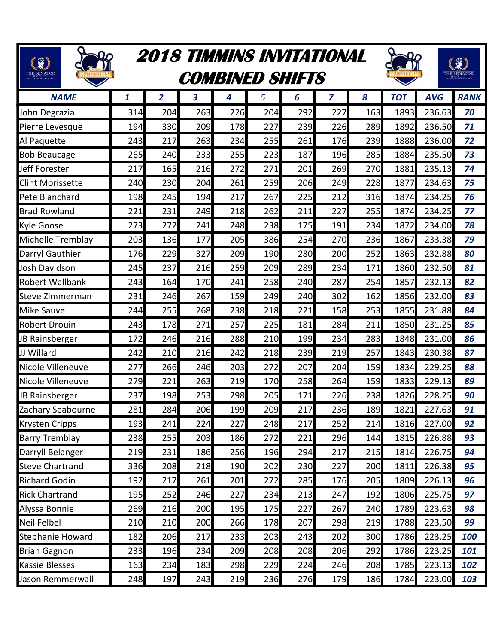| $\mathbb{C}$<br>THE SENATOR |     | <b>2018 TIMMINS INVITATIONAL</b> | <b>COMBINED SHIFTS</b> |     |     |     |                |     |            |            |             |
|-----------------------------|-----|----------------------------------|------------------------|-----|-----|-----|----------------|-----|------------|------------|-------------|
| <b>NAME</b>                 | 1   | $\overline{2}$                   | 3                      | 4   | 5   | 6   | $\overline{z}$ | 8   | <b>TOT</b> | <b>AVG</b> | <b>RANK</b> |
| John Degrazia               | 314 | 204                              | 263                    | 226 | 204 | 292 | 227            | 163 | 1893       | 236.63     | 70          |
| Pierre Levesque             | 194 | 330                              | 209                    | 178 | 227 | 239 | 226            | 289 | 1892       | 236.50     | 71          |
| Al Paquette                 | 243 | 217                              | 263                    | 234 | 255 | 261 | 176            | 239 | 1888       | 236.00     | 72          |
| <b>Bob Beaucage</b>         | 265 | 240                              | 233                    | 255 | 223 | 187 | 196            | 285 | 1884       | 235.50     | 73          |
| Jeff Forester               | 217 | 165                              | 216                    | 272 | 271 | 201 | 269            | 270 | 1881       | 235.13     | 74          |
| <b>Clint Morissette</b>     | 240 | 230                              | 204                    | 261 | 259 | 206 | 249            | 228 | 1877       | 234.63     | 75          |
| Pete Blanchard              | 198 | 245                              | 194                    | 217 | 267 | 225 | 212            | 316 | 1874       | 234.25     | 76          |
| <b>Brad Rowland</b>         | 221 | 231                              | 249                    | 218 | 262 | 211 | 227            | 255 | 1874       | 234.25     | 77          |
| <b>Kyle Goose</b>           | 273 | 272                              | 241                    | 248 | 238 | 175 | 191            | 234 | 1872       | 234.00     | 78          |
| Michelle Tremblay           | 203 | 136                              | 177                    | 205 | 386 | 254 | 270            | 236 | 1867       | 233.38     | 79          |
| Darryl Gauthier             | 176 | 229                              | 327                    | 209 | 190 | 280 | 200            | 252 | 1863       | 232.88     | 80          |
| Josh Davidson               | 245 | 237                              | 216                    | 259 | 209 | 289 | 234            | 171 | 1860       | 232.50     | 81          |
| <b>Robert Wallbank</b>      | 243 | 164                              | 170                    | 241 | 258 | 240 | 287            | 254 | 1857       | 232.13     | 82          |
| Steve Zimmerman             | 231 | 246                              | 267                    | 159 | 249 | 240 | 302            | 162 | 1856       | 232.00     | 83          |
| <b>Mike Sauve</b>           | 244 | 255                              | 268                    | 238 | 218 | 221 | 158            | 253 | 1855       | 231.88     | 84          |
| <b>Robert Drouin</b>        | 243 | 178                              | 271                    | 257 | 225 | 181 | 284            | 211 | 1850       | 231.25     | 85          |
| JB Rainsberger              | 172 | 246                              | 216                    | 288 | 210 | 199 | 234            | 283 | 1848       | 231.00     | 86          |
| JJ Willard                  | 242 | 210                              | 216                    | 242 | 218 | 239 | 219            | 257 | 1843       | 230.38     | 87          |
| Nicole Villeneuve           | 277 | 266                              | 246                    | 203 | 272 | 207 | 204            | 159 | 1834       | 229.25     | 88          |
| Nicole Villeneuve           | 279 | 221                              | 263                    | 219 | 170 | 258 | 264            | 159 | 1833       | 229.13     | 89          |
| JB Rainsberger              | 237 | 198                              | 253                    | 298 | 205 | 171 | 226            | 238 | 1826       | 228.25     | 90          |
| Zachary Seabourne           | 281 | 284                              | 206                    | 199 | 209 | 217 | 236            | 189 | 1821       | 227.63     | 91          |
| <b>Krysten Cripps</b>       | 193 | 241                              | 224                    | 227 | 248 | 217 | 252            | 214 | 1816       | 227.00     | 92          |
| <b>Barry Tremblay</b>       | 238 | 255                              | 203                    | 186 | 272 | 221 | 296            | 144 | 1815       | 226.88     | 93          |
| Darryll Belanger            | 219 | 231                              | 186                    | 256 | 196 | 294 | 217            | 215 | 1814       | 226.75     | 94          |
| <b>Steve Chartrand</b>      | 336 | 208                              | 218                    | 190 | 202 | 230 | 227            | 200 | 1811       | 226.38     | 95          |
| <b>Richard Godin</b>        | 192 | 217                              | 261                    | 201 | 272 | 285 | 176            | 205 | 1809       | 226.13     | 96          |
| <b>Rick Chartrand</b>       | 195 | 252                              | 246                    | 227 | 234 | 213 | 247            | 192 | 1806       | 225.75     | 97          |
| Alyssa Bonnie               | 269 | 216                              | 200                    | 195 | 175 | 227 | 267            | 240 | 1789       | 223.63     | 98          |
| Neil Felbel                 | 210 | 210                              | 200                    | 266 | 178 | 207 | 298            | 219 | 1788       | 223.50     | 99          |
| Stephanie Howard            | 182 | 206                              | 217                    | 233 | 203 | 243 | 202            | 300 | 1786       | 223.25     | 100         |
| <b>Brian Gagnon</b>         | 233 | 196                              | 234                    | 209 | 208 | 208 | 206            | 292 | 1786       | 223.25     | 101         |
| <b>Kassie Blesses</b>       | 163 | 234                              | 183                    | 298 | 229 | 224 | 246            | 208 | 1785       | 223.13     | 102         |
| Jason Remmerwall            | 248 | 197                              | 243                    | 219 | 236 | 276 | 179            | 186 | 1784       | 223.00     | 103         |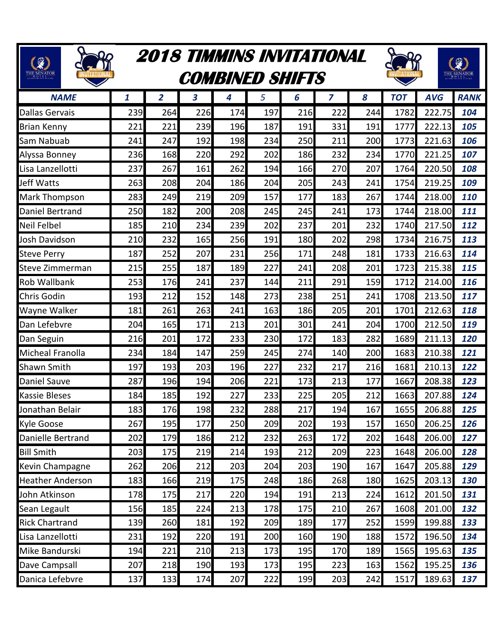| $\mathcal{G}$<br>THE SENATOR |     | <b>2018 TIMMINS INVITATIONAL</b><br><b>COMBINED SHIFTS</b> |     |     |     |     |                |     |            |            | €           |  |  |  |  |
|------------------------------|-----|------------------------------------------------------------|-----|-----|-----|-----|----------------|-----|------------|------------|-------------|--|--|--|--|
| <b>NAME</b>                  | 1   | 2                                                          | 3   | 4   | 5   | 6   | $\overline{z}$ | 8   | <b>TOT</b> | <b>AVG</b> | <b>RANK</b> |  |  |  |  |
| <b>Dallas Gervais</b>        | 239 | 264                                                        | 226 | 174 | 197 | 216 | 222            | 244 | 1782       | 222.75     | 104         |  |  |  |  |
| <b>Brian Kenny</b>           | 221 | 221                                                        | 239 | 196 | 187 | 191 | 331            | 191 | 1777       | 222.13     | 105         |  |  |  |  |
| Sam Nabuab                   | 241 | 247                                                        | 192 | 198 | 234 | 250 | 211            | 200 | 1773       | 221.63     | 106         |  |  |  |  |
| Alyssa Bonney                | 236 | 168                                                        | 220 | 292 | 202 | 186 | 232            | 234 | 1770       | 221.25     | 107         |  |  |  |  |
| Lisa Lanzellotti             | 237 | 267                                                        | 161 | 262 | 194 | 166 | 270            | 207 | 1764       | 220.50     | 108         |  |  |  |  |
| Jeff Watts                   | 263 | 208                                                        | 204 | 186 | 204 | 205 | 243            | 241 | 1754       | 219.25     | 109         |  |  |  |  |
| Mark Thompson                | 283 | 249                                                        | 219 | 209 | 157 | 177 | 183            | 267 | 1744       | 218.00     | 110         |  |  |  |  |
| Daniel Bertrand              | 250 | 182                                                        | 200 | 208 | 245 | 245 | 241            | 173 | 1744       | 218.00     | 111         |  |  |  |  |
| <b>Neil Felbel</b>           | 185 | 210                                                        | 234 | 239 | 202 | 237 | 201            | 232 | 1740       | 217.50     | 112         |  |  |  |  |
| Josh Davidson                | 210 | 232                                                        | 165 | 256 | 191 | 180 | 202            | 298 | 1734       | 216.75     | 113         |  |  |  |  |
| <b>Steve Perry</b>           | 187 | 252                                                        | 207 | 231 | 256 | 171 | 248            | 181 | 1733       | 216.63     | 114         |  |  |  |  |
| Steve Zimmerman              | 215 | 255                                                        | 187 | 189 | 227 | 241 | 208            | 201 | 1723       | 215.38     | 115         |  |  |  |  |
| <b>Rob Wallbank</b>          | 253 | 176                                                        | 241 | 237 | 144 | 211 | 291            | 159 | 1712       | 214.00     | 116         |  |  |  |  |
| Chris Godin                  | 193 | 212                                                        | 152 | 148 | 273 | 238 | 251            | 241 | 1708       | 213.50     | 117         |  |  |  |  |
| Wayne Walker                 | 181 | 261                                                        | 263 | 241 | 163 | 186 | 205            | 201 | 1701       | 212.63     | 118         |  |  |  |  |
| Dan Lefebvre                 | 204 | 165                                                        | 171 | 213 | 201 | 301 | 241            | 204 | 1700       | 212.50     | 119         |  |  |  |  |
| Dan Seguin                   | 216 | 201                                                        | 172 | 233 | 230 | 172 | 183            | 282 | 1689       | 211.13     | 120         |  |  |  |  |
| <b>Micheal Franolla</b>      | 234 | 184                                                        | 147 | 259 | 245 | 274 | 140            | 200 | 1683       | 210.38     | 121         |  |  |  |  |
| <b>Shawn Smith</b>           | 197 | 193                                                        | 203 | 196 | 227 | 232 | 217            | 216 | 1681       | 210.13     | 122         |  |  |  |  |
| <b>Daniel Sauve</b>          | 287 | 196                                                        | 194 | 206 | 221 | 173 | 213            | 177 | 1667       | 208.38     | 123         |  |  |  |  |
| <b>Kassie Bleses</b>         | 184 | 185                                                        | 192 | 227 | 233 | 225 | 205            | 212 | 1663       | 207.88     | 124         |  |  |  |  |
| Jonathan Belair              | 183 | 176                                                        | 198 | 232 | 288 | 217 | 194            | 167 | 1655       | 206.88     | 125         |  |  |  |  |
| <b>Kyle Goose</b>            | 267 | 195                                                        | 177 | 250 | 209 | 202 | 193            | 157 | 1650       | 206.25     | 126         |  |  |  |  |
| Danielle Bertrand            | 202 | 179                                                        | 186 | 212 | 232 | 263 | 172            | 202 | 1648       | 206.00     | 127         |  |  |  |  |
| <b>Bill Smith</b>            | 203 | 175                                                        | 219 | 214 | 193 | 212 | 209            | 223 | 1648       | 206.00     | 128         |  |  |  |  |
| Kevin Champagne              | 262 | 206                                                        | 212 | 203 | 204 | 203 | 190            | 167 | 1647       | 205.88     | 129         |  |  |  |  |
| <b>Heather Anderson</b>      | 183 | 166                                                        | 219 | 175 | 248 | 186 | 268            | 180 | 1625       | 203.13     | 130         |  |  |  |  |
| John Atkinson                | 178 | 175                                                        | 217 | 220 | 194 | 191 | 213            | 224 | 1612       | 201.50     | 131         |  |  |  |  |
| Sean Legault                 | 156 | 185                                                        | 224 | 213 | 178 | 175 | 210            | 267 | 1608       | 201.00     | 132         |  |  |  |  |
| <b>Rick Chartrand</b>        | 139 | 260                                                        | 181 | 192 | 209 | 189 | 177            | 252 | 1599       | 199.88     | 133         |  |  |  |  |
| Lisa Lanzellotti             | 231 | 192                                                        | 220 | 191 | 200 | 160 | 190            | 188 | 1572       | 196.50     | 134         |  |  |  |  |
| Mike Bandurski               | 194 | 221                                                        | 210 | 213 | 173 | 195 | 170            | 189 | 1565       | 195.63     | 135         |  |  |  |  |
| Dave Campsall                | 207 | 218                                                        | 190 | 193 | 173 | 195 | 223            | 163 | 1562       | 195.25     | 136         |  |  |  |  |
| Danica Lefebvre              | 137 | 133                                                        | 174 | 207 | 222 | 199 | 203            | 242 | 1517       | 189.63     | 137         |  |  |  |  |